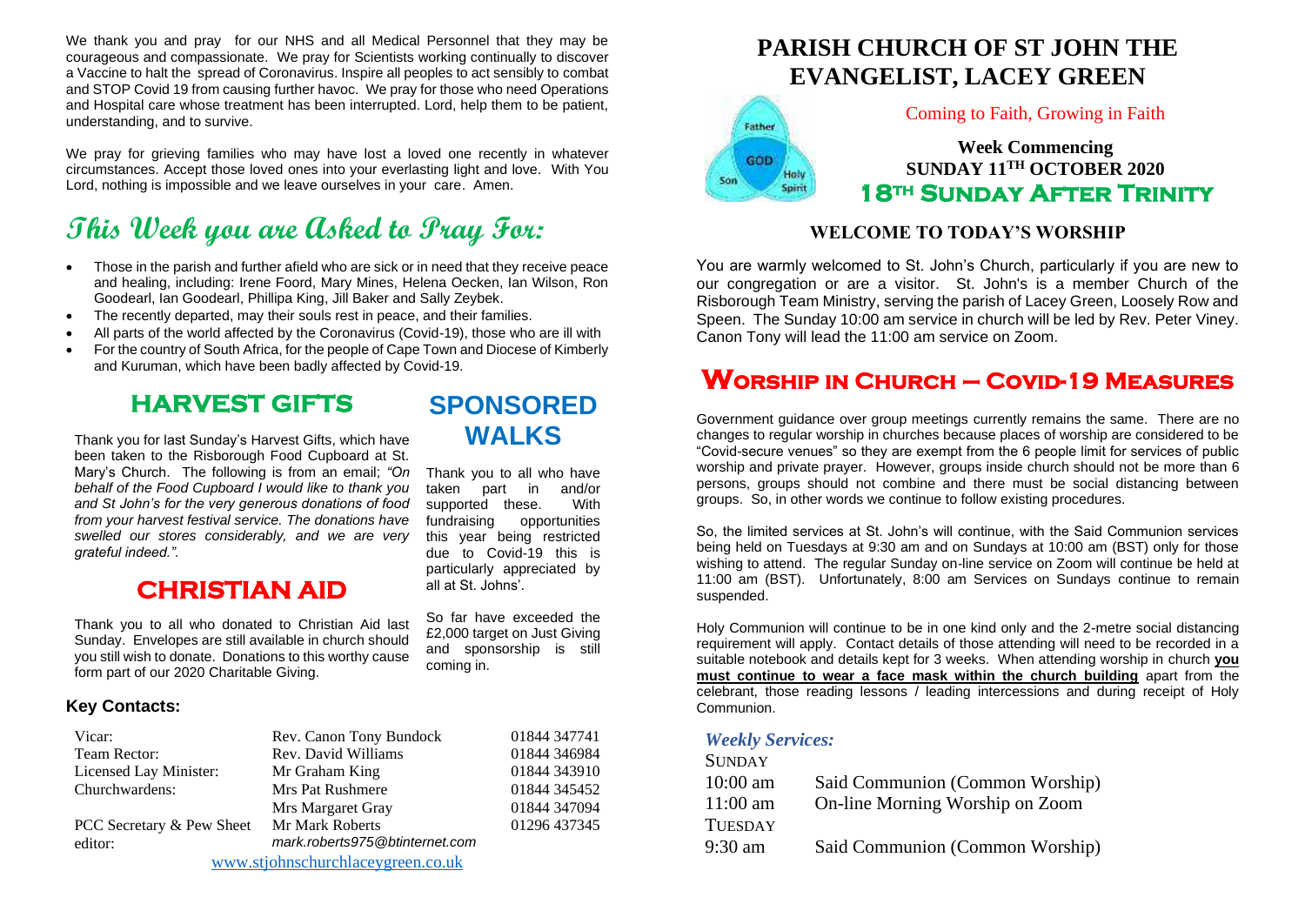We thank you and pray for our NHS and all Medical Personnel that they may be courageous and compassionate. We pray for Scientists working continually to discover a Vaccine to halt the spread of Coronavirus. Inspire all peoples to act sensibly to combat and STOP Covid 19 from causing further havoc. We pray for those who need Operations and Hospital care whose treatment has been interrupted. Lord, help them to be patient, understanding, and to survive.

We pray for grieving families who may have lost a loved one recently in whatever circumstances. Accept those loved ones into your everlasting light and love. With You Lord, nothing is impossible and we leave ourselves in your care. Amen.

# **This Week you are Asked to Pray For:**

- Those in the parish and further afield who are sick or in need that they receive peace and healing, including: Irene Foord, Mary Mines, Helena Oecken, Ian Wilson, Ron Goodearl, Ian Goodearl, Phillipa King, Jill Baker and Sally Zeybek.
- The recently departed, may their souls rest in peace, and their families.
- All parts of the world affected by the Coronavirus (Covid-19), those who are ill with
- For the country of South Africa, for the people of Cape Town and Diocese of Kimberly and Kuruman, which have been badly affected by Covid-19.

## **HARVEST GIFTS**

Thank you for last Sunday's Harvest Gifts, which have been taken to the Risborough Food Cupboard at St. Mary's Church. The following is from an email; *"On behalf of the Food Cupboard I would like to thank you and St John's for the very generous donations of food from your harvest festival service. The donations have swelled our stores considerably, and we are very grateful indeed.".*

## **CHRISTIAN AID**

Thank you to all who donated to Christian Aid last Sunday. Envelopes are still available in church should you still wish to donate. Donations to this worthy cause form part of our 2020 Charitable Giving.

#### **Key Contacts:**

| Vicar:                            | Rev. Canon Tony Bundock        | 01844 347741 |  |
|-----------------------------------|--------------------------------|--------------|--|
| Team Rector:                      | Rev. David Williams            | 01844 346984 |  |
| Licensed Lay Minister:            | Mr Graham King                 | 01844 343910 |  |
| Churchwardens:                    | Mrs Pat Rushmere               | 01844 345452 |  |
|                                   | Mrs Margaret Gray              | 01844 347094 |  |
| PCC Secretary & Pew Sheet         | <b>Mr Mark Roberts</b>         | 01296 437345 |  |
| editor:                           | mark.roberts975@btinternet.com |              |  |
| www.stjohnschurchlaceygreen.co.uk |                                |              |  |

## **SPONSORED WALKS**

Thank you to all who have taken part in and/or supported these. With fundraising opportunities this year being restricted due to Covid-19 this is particularly appreciated by all at St. Johns'.

So far have exceeded the £2,000 target on Just Giving and sponsorship is still coming in.

## **PARISH CHURCH OF ST JOHN THE EVANGELIST, LACEY GREEN**



#### Coming to Faith, Growing in Faith

**Week Commencing SUNDAY 11TH OCTOBER 2020 18th Sunday After Trinity** 

#### **WELCOME TO TODAY'S WORSHIP**

You are warmly welcomed to St. John's Church, particularly if you are new to our congregation or are a visitor. St. John's is a member Church of the Risborough Team Ministry, serving the parish of Lacey Green, Loosely Row and Speen. The Sunday 10:00 am service in church will be led by Rev. Peter Viney. Canon Tony will lead the 11:00 am service on Zoom.

## **Worship in Church – Covid-19 Measures**

Government guidance over group meetings currently remains the same. There are no changes to regular worship in churches because places of worship are considered to be "Covid-secure venues" so they are exempt from the 6 people limit for services of public worship and private prayer. However, groups inside church should not be more than 6 persons, groups should not combine and there must be social distancing between groups. So, in other words we continue to follow existing procedures.

So, the limited services at St. John's will continue, with the Said Communion services being held on Tuesdays at 9:30 am and on Sundays at 10:00 am (BST) only for those wishing to attend. The regular Sunday on-line service on Zoom will continue be held at 11:00 am (BST). Unfortunately, 8:00 am Services on Sundays continue to remain suspended.

Holy Communion will continue to be in one kind only and the 2-metre social distancing requirement will apply. Contact details of those attending will need to be recorded in a suitable notebook and details kept for 3 weeks. When attending worship in church **you must continue to wear a face mask within the church building** apart from the celebrant, those reading lessons / leading intercessions and during receipt of Holy Communion.

#### *Weekly Services:*  $S_{\text{SUS}}$

| SUNDAY         |                                 |
|----------------|---------------------------------|
| $10:00$ am     | Said Communion (Common Worship) |
| $11:00$ am     | On-line Morning Worship on Zoom |
| <b>TUESDAY</b> |                                 |
| 9:30 am        | Said Communion (Common Worship) |
|                |                                 |